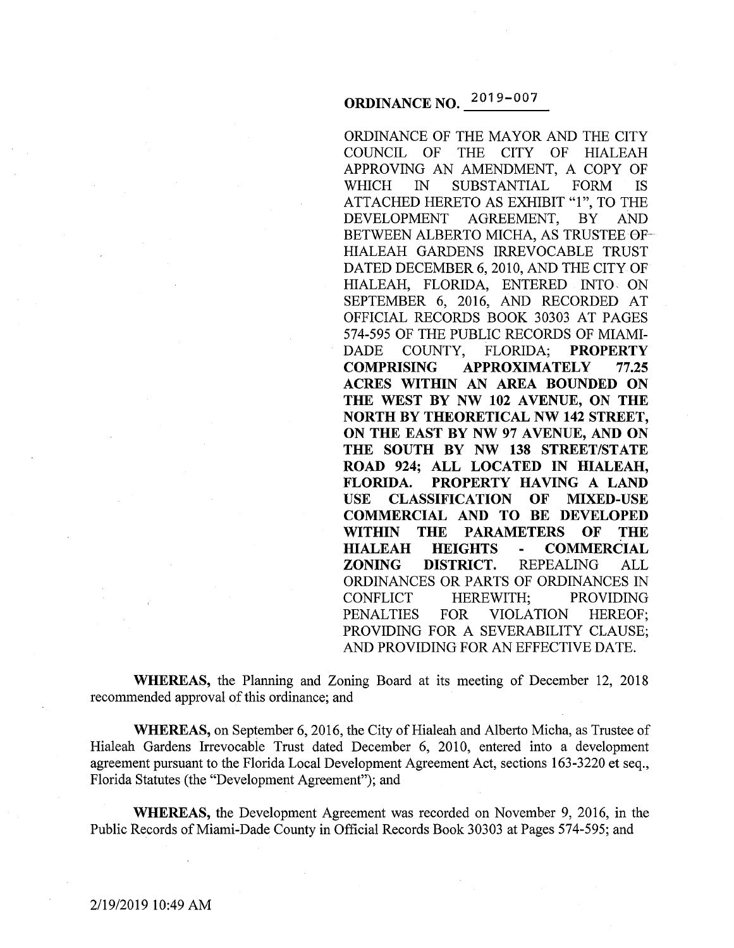# **ORDINANCE NO.** 2o19-oo7

ORDINANCE OF THE MAYOR AND THE CITY COUNCIL OF THE CITY OF HIALEAH APPROVING AN AMENDMENT, A COPY OF WHICH IN SUBSTANTIAL FORM IS ATTACHED HERETO AS EXHIBIT "l", TO THE DEVELOPMENT AGREEMENT, BY AND BETWEEN ALBERTO MICHA, AS TRUSTEE 0F-HIALEAH GARDENS IRREVOCABLE TRUST DATED DECEMBER 6, 2010, AND THE CITY OF HIALEAH, FLORIDA, ENTERED INTO, ON SEPTEMBER 6, 2016, AND RECORDED AT OFFICIAL RECORDS BOOK 30303 AT PAGES 574-595 OF THE PUBLIC RECORDS OF MIAMI-DADE COUNTY, FLORIDA; **PROPERTY COMPRISING APPROXIMATELY 77.25 ACRES WITHIN AN AREA BOUNDED ON**  THE WEST BY NW 102 AVENUE, ON THE **NORTH BY THEORETICAL NW 142 STREET, ON THE EAST BY NW 97 AVENUE, AND ON THE SOUTH BY NW 138 STREET/STATE ROAD 924; ALL LOCATED IN HIALEAH, FLORIDA. PROPERTY HAVING A LAND USE CLASSIFICATION OF MIXED-USE COMMERCIAL AND TO BE DEVELOPED WITHIN THE PARAMETERS OF THE HIALEAH HEIGHTS COMMERCIAL ZONING DISTRICT.** REPEALING ALL ORDINANCES OR PARTS OF ORDINANCES IN CONFLICT HEREWITH; PROVIDING PENALTIES FOR VIOLATION HEREOF; PROVIDING FOR A SEVERABILITY CLAUSE; AND PROVIDING FOR AN EFFECTIVE DATE.

**WHEREAS,** the Planning and Zoning Board at its meeting of December 12, 2018 recommended approval of this ordinance; and

**WHEREAS,** on September 6, 2016, the City of Hialeah and Alberto Micha, as Trustee of Hialeah Gardens Irrevocable Trust dated December 6, 2010, entered into a development agreement pursuant to the Florida Local Development Agreement Act, sections 163-3220 et seq., Florida Statutes (the "Development Agreement"); and

**WHEREAS,** the Development Agreement was recorded on November 9, 2016, in the Public Records of Miami-Dade County in Official Records Book 30303 at Pages 574-595; and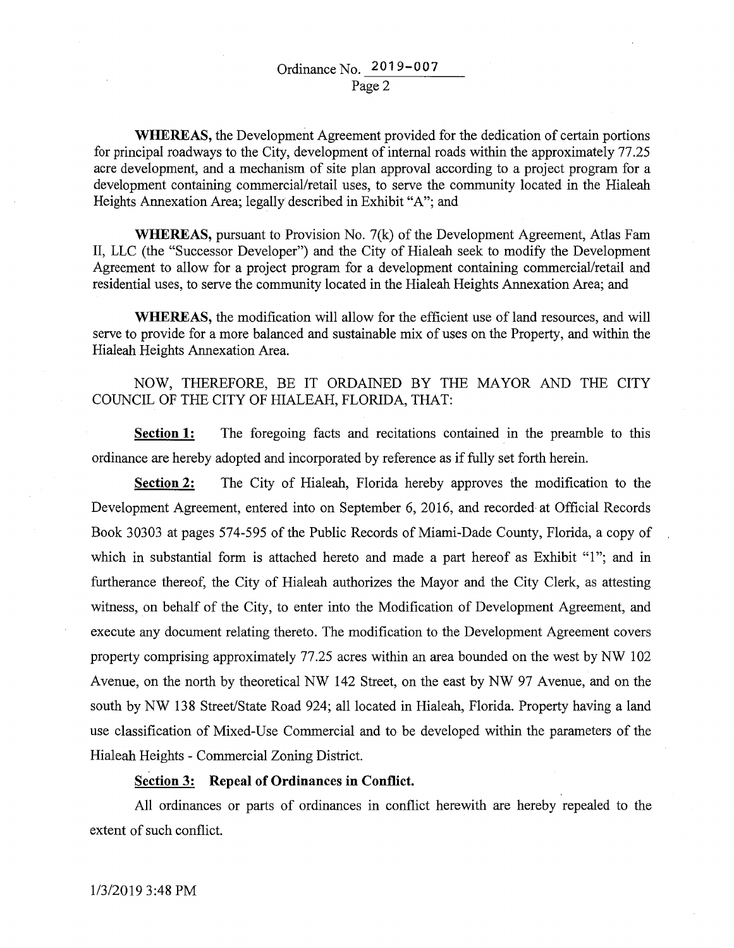**WHEREAS,** the Development Agreement provided for the dedication of certain portions for principal roadways to the City, development of internal roads within the approximately 77 .25 acre development, and a mechanism of site plan approval according to a project program for a development containing commercial/retail uses, to serve the community located in the Hialeah Heights Annexation Area; legally described in Exhibit "A"; and

**WHEREAS,** pursuant to Provision No. 7(k) of the Development Agreement, Atlas Fam II, LLC (the "Successor Developer") and the City of Hialeah seek to modify the Development Agreement to allow for a project program for a development containing commercial/retail and residential uses, to serve the community located in the Hialeah Heights Annexation Area; and

**WHEREAS,** the modification will allow for the efficient use of land resources, and will serve to provide for a more balanced and sustainable mix of uses on the Property, and within the Hialeah Heights Annexation Area.

## NOW, THEREFORE, BE IT ORDAINED BY THE MAYOR AND THE CITY COUNCIL OF THE CITY OF HIALEAH, FLORIDA, THAT:

**Section 1:** The foregoing facts and recitations contained in the preamble to this ordinance are hereby adopted and incorporated by reference as if fully set forth herein.

**Section 2:** The City of Hialeah, Florida hereby approves the modification to the Development Agreement, entered into on September 6, 2016, and recorded at Official Records Book 30303 at pages 574-595 of the Public Records of Miami-Dade County, Florida, a copy of which in substantial form is attached hereto and made a part hereof as Exhibit "l"; and in furtherance thereof, the City of Hialeah authorizes the Mayor and the City Clerk, as attesting witness, on behalf of the City, to enter into the Modification of Development Agreement, and execute any document relating thereto. The modification to the Development Agreement covers property comprising approximately 77.25 acres within an area bounded on the west by NW 102 Avenue, on the north by theoretical NW 142 Street, on the east by NW 97 Avenue, and on the south by NW 138 Street/State Road 924; all located in Hialeah, Florida. Property having a land use classification of Mixed-Use Commercial and to be developed within the parameters of the Hialeah Heights - Commercial Zoning District.

## **Section 3: Repeal of Ordinances in Conflict.**

All ordinances or parts of ordinances in conflict herewith are hereby repealed to the extent of such conflict.